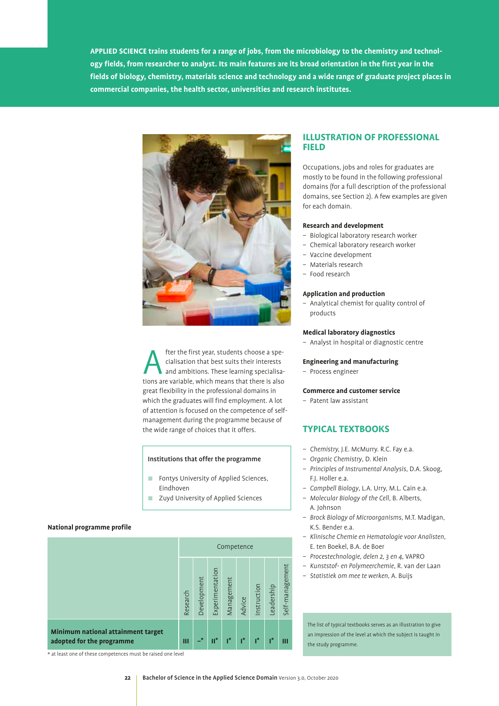**APPLIED SCIENCE trains students for a range of jobs, from the microbiology to the chemistry and technology fields, from researcher to analyst. Its main features are its broad orientation in the first year in the fields of biology, chemistry, materials science and technology and a wide range of graduate project places in commercial companies, the health sector, universities and research institutes.**



fter the first year, students choose a specialisation that best suits their interests<br>and ambitions. These learning specialisations are variable which means that there is also cialisation that best suits their interests and ambitions. These learning specialisations are variable, which means that there is also great flexibility in the professional domains in which the graduates will find employment. A lot of attention is focused on the competence of selfmanagement during the programme because of the wide range of choices that it offers.

# Institutions that offer the programme

- **Fontys University of Applied Sciences,** Eindhoven
- **Zuyd University of Applied Sciences**

# **National programme profile**

|                                                                 | Competence |             |                 |            |        |              |            |                 |
|-----------------------------------------------------------------|------------|-------------|-----------------|------------|--------|--------------|------------|-----------------|
|                                                                 | Research   | Development | Experimentation | Management | Advice | Instruction  | Leadership | Self-management |
| Minimum national attainment target<br>adopted for the programme | Ш          | $\star$     | $\mathbf{II}^*$ | ,*         | ı*     | $\mathbf{r}$ | ı*         | Ш               |

# **ILLUSTRATION OF PROFESSIONAL FIELD**

Occupations, jobs and roles for graduates are mostly to be found in the following professional domains (for a full description of the professional domains, see Section 2). A few examples are given for each domain.

# **Research and development**

- Biological laboratory research worker
- Chemical laboratory research worker
- Vaccine development
- Materials research
- Food research

### **Application and production**

– Analytical chemist for quality control of products

### **Medical laboratory diagnostics**

– Analyst in hospital or diagnostic centre

## **Engineering and manufacturing**

– Process engineer

# **Commerce and customer service**

– Patent law assistant

# **TYPICAL TEXTBOOKS**

- *Chemistry,* J.E. McMurry. R.C. Fay e.a.
- *Organic Chemistry*, D. Klein
- *Principles of Instrumental Analysis*, D.A. Skoog, F.J. Holler e.a.
- *Campbell Biology*, L.A. Urry, M.L. Cain e.a.
- *Molecular Biology of the Cell*, B. Alberts, A. Johnson
- *Brock Biology of Microorganisms*, M.T. Madigan, K.S. Bender e.a.
- *Klinische Chemie en Hematologie voor Analisten*, E. ten Boekel, B.A. de Boer
- *Procestechnologie, delen 2, 3 en 4*, VAPRO
- *Kunststof- en Polymeerchemie*, R. van der Laan
- *Statistiek om mee te werken*, A. Buijs

The list of typical textbooks serves as an illustration to give an impression of the level at which the subject is taught in the study programme.

\* at least one of these competences must be raised one level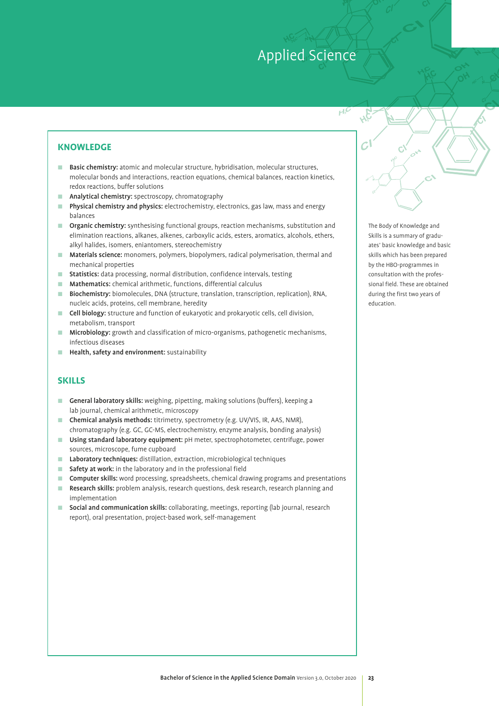H

# **KNOWLEDGE**

- **E** Basic chemistry: atomic and molecular structure, hybridisation, molecular structures, molecular bonds and interactions, reaction equations, chemical balances, reaction kinetics, redox reactions, buffer solutions
- **E** Analytical chemistry: spectroscopy, chromatography
- **Physical chemistry and physics:** electrochemistry, electronics, gas law, mass and energy balances
- **Depanic chemistry:** synthesising functional groups, reaction mechanisms, substitution and elimination reactions, alkanes, alkenes, carboxylic acids, esters, aromatics, alcohols, ethers, alkyl halides, isomers, eniantomers, stereochemistry
- **In Materials science:** monomers, polymers, biopolymers, radical polymerisation, thermal and mechanical properties
- **E** Statistics: data processing, normal distribution, confidence intervals, testing
- **E** Mathematics: chemical arithmetic, functions, differential calculus
- : Biochemistry: biomolecules, DNA (structure, translation, transcription, replication), RNA, nucleic acids, proteins, cell membrane, heredity
- **Cell biology:** structure and function of eukaryotic and prokaryotic cells, cell division, metabolism, transport
- **I** Microbiology: growth and classification of micro-organisms, pathogenetic mechanisms, infectious diseases
- **E** Health, safety and environment: sustainability

# **SKILLS**

- General laboratory skills: weighing, pipetting, making solutions (buffers), keeping a lab journal, chemical arithmetic, microscopy
- **Chemical analysis methods:** titrimetry, spectrometry (e.g. UV/VIS, IR, AAS, NMR), chromatography (e.g. GC, GC-MS, electrochemistry, enzyme analysis, bonding analysis)
- **Using standard laboratory equipment:** pH meter, spectrophotometer, centrifuge, power sources, microscope, fume cupboard
- Laboratory techniques: distillation, extraction, microbiological techniques
- **E** Safety at work: in the laboratory and in the professional field
- **Computer skills:** word processing, spreadsheets, chemical drawing programs and presentations
- Research skills: problem analysis, research questions, desk research, research planning and implementation
- **E** Social and communication skills: collaborating, meetings, reporting (lab journal, research report), oral presentation, project-based work, self-management

The Body of Knowledge and Skills is a summary of graduates' basic knowledge and basic skills which has been prepared by the HBO-programmes in consultation with the professional field. These are obtained during the first two years of education.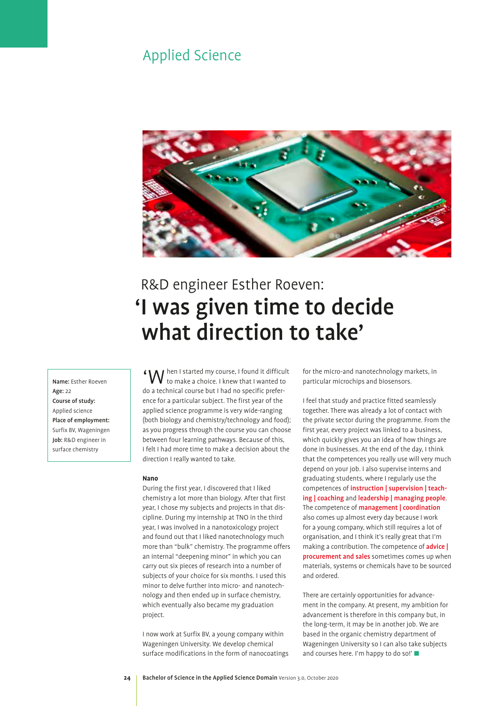

# R&D engineer Esther Roeven: 'I was given time to decide what direction to take'

Name: Esther Roeven Age: 22 Course of study: Applied science Place of employment: Surfix BV, Wageningen Job: R&D engineer in surface chemistry

'When I started my course, I found it difficult to make a choice. I knew that I wanted to do a technical course but I had no specific preference for a particular subject. The first year of the applied science programme is very wide-ranging (both biology and chemistry/technology and food); as you progress through the course you can choose between four learning pathways. Because of this, I felt I had more time to make a decision about the direction I really wanted to take.

### **Nano**

During the first year, I discovered that I liked chemistry a lot more than biology. After that first year, I chose my subjects and projects in that discipline. During my internship at TNO in the third year, I was involved in a nanotoxicology project and found out that I liked nanotechnology much more than "bulk" chemistry. The programme offers an internal "deepening minor" in which you can carry out six pieces of research into a number of subjects of your choice for six months. I used this minor to delve further into micro- and nanotechnology and then ended up in surface chemistry, which eventually also became my graduation project.

I now work at Surfix BV, a young company within Wageningen University. We develop chemical surface modifications in the form of nanocoatings for the micro-and nanotechnology markets, in particular microchips and biosensors.

I feel that study and practice fitted seamlessly together. There was already a lot of contact with the private sector during the programme. From the first year, every project was linked to a business, which quickly gives you an idea of how things are done in businesses. At the end of the day, I think that the competences you really use will very much depend on your job. I also supervise interns and graduating students, where I regularly use the competences of instruction | supervision | teaching | coaching and leadership | managing people. The competence of **management** | coordination also comes up almost every day because I work for a young company, which still requires a lot of organisation, and I think it's really great that I'm making a contribution. The competence of **advice** procurement and sales sometimes comes up when materials, systems or chemicals have to be sourced and ordered.

There are certainly opportunities for advancement in the company. At present, my ambition for advancement is therefore in this company but, in the long-term, it may be in another job. We are based in the organic chemistry department of Wageningen University so I can also take subjects and courses here. I'm happy to do so!'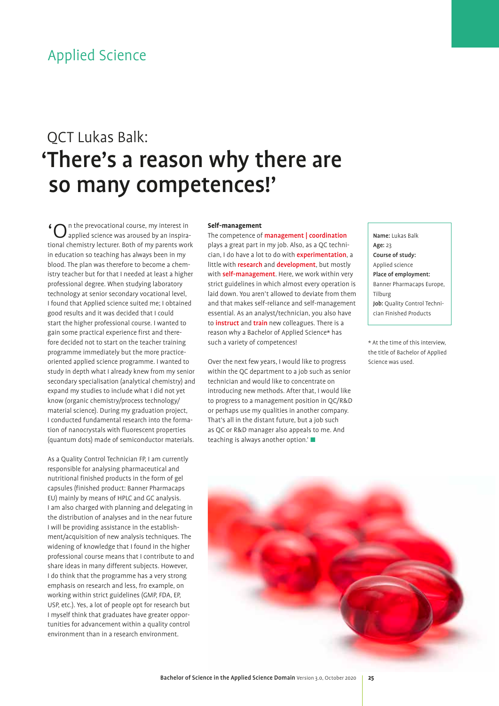# QCT Lukas Balk: 'There's a reason why there are so many competences!'

 $\ln$  n the prevocational course, my interest in applied science was aroused by an inspirational chemistry lecturer. Both of my parents work in education so teaching has always been in my blood. The plan was therefore to become a chemistry teacher but for that I needed at least a higher professional degree. When studying laboratory technology at senior secondary vocational level, I found that Applied science suited me; I obtained good results and it was decided that I could start the higher professional course. I wanted to gain some practical experience first and therefore decided not to start on the teacher training programme immediately but the more practiceoriented applied science programme. I wanted to study in depth what I already knew from my senior secondary specialisation (analytical chemistry) and expand my studies to include what I did not yet know (organic chemistry/process technology/ material science). During my graduation project, I conducted fundamental research into the formation of nanocrystals with fluorescent properties (quantum dots) made of semiconductor materials. start the higher professional course. I wanted to ratio instruct and train new colleagues. There is a ratio and<br>gain some practical experience first and there-rations of the sachelor of Applied Science\* has<br>fore decided no

> As a Quality Control Technician FP, I am currently responsible for analysing pharmaceutical and nutritional finished products in the form of gel capsules (finished product: Banner Pharmacaps EU) mainly by means of HPLC and GC analysis. I am also charged with planning and delegating in the distribution of analyses and in the near future I will be providing assistance in the establishment/acquisition of new analysis techniques. The widening of knowledge that I found in the higher professional course means that I contribute to and share ideas in many different subjects. However, I do think that the programme has a very strong emphasis on research and less, fro example, on working within strict guidelines (GMP, FDA, EP, USP, etc.). Yes, a lot of people opt for research but I myself think that graduates have greater opportunities for advancement within a quality control environment than in a research environment.

# **Self-management**

The competence of **management** | coordination plays a great part in my job. Also, as a QC technician, I do have a lot to do with experimentation, a little with **research** and **development**, but mostly with self-management. Here, we work within very strict guidelines in which almost every operation is laid down. You aren't allowed to deviate from them and that makes self-reliance and self-management essential. As an analyst/technician, you also have to *instruct* and *train* new colleagues. There is a reason why a Bachelor of Applied Science\* has such a variety of competences!

Over the next few years, I would like to progress within the QC department to a job such as senior technician and would like to concentrate on introducing new methods. After that, I would like to progress to a management position in QC/R&D or perhaps use my qualities in another company. That's all in the distant future, but a job such as QC or R&D manager also appeals to me. And teaching is always another option.' $\blacksquare$ 

Name: Lukas Balk Age: 23 Course of study: Applied science Place of employment: Banner Pharmacaps Europe, Tilburg Job: Quality Control Technician Finished Products

the title of Bachelor of Applied Science was used.